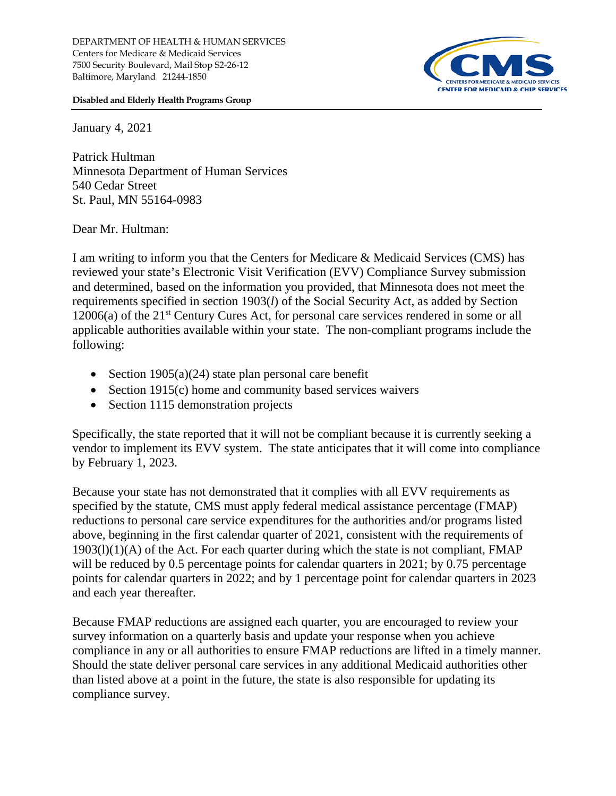DEPARTMENT OF HEALTH & HUMAN SERVICES Centers for Medicare & Medicaid Services 7500 Security Boulevard, Mail Stop S2-26-12 Baltimore, Maryland 21244-1850



**Disabled and Elderly Health Programs Group**

January 4, 2021

Patrick Hultman Minnesota Department of Human Services 540 Cedar Street St. Paul, MN 55164-0983

Dear Mr. Hultman:

I am writing to inform you that the Centers for Medicare & Medicaid Services (CMS) has reviewed your state's Electronic Visit Verification (EVV) Compliance Survey submission and determined, based on the information you provided, that Minnesota does not meet the requirements specified in section 1903(*l*) of the Social Security Act, as added by Section 12006(a) of the 21st Century Cures Act, for personal care services rendered in some or all applicable authorities available within your state. The non-compliant programs include the following:

- Section  $1905(a)(24)$  state plan personal care benefit
- Section 1915(c) home and community based services waivers
- Section 1115 demonstration projects

Specifically, the state reported that it will not be compliant because it is currently seeking a vendor to implement its EVV system. The state anticipates that it will come into compliance by February 1, 2023.

Because your state has not demonstrated that it complies with all EVV requirements as specified by the statute, CMS must apply federal medical assistance percentage (FMAP) reductions to personal care service expenditures for the authorities and/or programs listed above, beginning in the first calendar quarter of 2021, consistent with the requirements of  $1903(1)(1)(A)$  of the Act. For each quarter during which the state is not compliant, FMAP will be reduced by 0.5 percentage points for calendar quarters in 2021; by 0.75 percentage points for calendar quarters in 2022; and by 1 percentage point for calendar quarters in 2023 and each year thereafter.

Because FMAP reductions are assigned each quarter, you are encouraged to review your survey information on a quarterly basis and update your response when you achieve compliance in any or all authorities to ensure FMAP reductions are lifted in a timely manner. Should the state deliver personal care services in any additional Medicaid authorities other than listed above at a point in the future, the state is also responsible for updating its compliance survey.